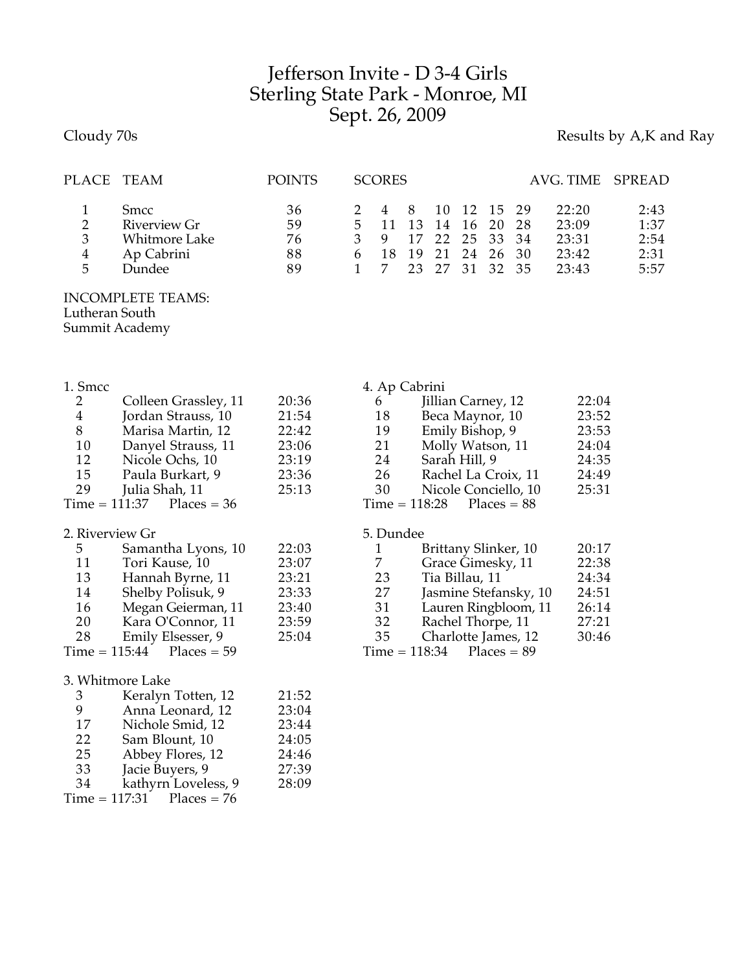## Jefferson Invite - D 3-4 Girls Sterling State Park - Monroe, MI Sept. 26, 2009

## Cloudy 70s **Results by A,K and Ray**

| PLACE TEAM |                      | <b>POINTS</b> | <b>SCORES</b> |     |  |                | AVG. TIME SPREAD |      |
|------------|----------------------|---------------|---------------|-----|--|----------------|------------------|------|
|            | <b>Smcc</b>          | 36            |               | - 8 |  | 10 12 15 29    | 22:20            | 2:43 |
| 2          | Riverview Gr         | 59            | $5 \quad 11$  |     |  | 13 14 16 20 28 | 23:09            | 1:37 |
| 3          | <b>Whitmore Lake</b> | 76            | 9             |     |  | 17 22 25 33 34 | 23:31            | 2:54 |
| 4          | Ap Cabrini           | 88            |               | -19 |  | 21 24 26 30    | 23:42            | 2:31 |
| 5          | Dundee               | 89            |               |     |  | 23 27 31 32 35 | 23:43            | 5:57 |
|            |                      |               |               |     |  |                |                  |      |

## INCOMPLETE TEAMS: Lutheran South Summit Academy

| 1. Smcc        |                             |       | 4. Ap Cabrini |                                  |       |
|----------------|-----------------------------|-------|---------------|----------------------------------|-------|
| 2              | Colleen Grassley, 11        | 20:36 | 6             | Jillian Carney, 12               | 22:04 |
| $\overline{4}$ | Jordan Strauss, 10          | 21:54 | 18            | Beca Maynor, 10                  | 23:52 |
| 8              | Marisa Martin, 12           | 22:42 | 19            | Emily Bishop, 9                  | 23:53 |
| 10             | Danyel Strauss, 11          | 23:06 | 21            | Molly Watson, 11                 | 24:04 |
| 12             | Nicole Ochs, 10             | 23:19 | 24            | Sarah Hill, 9                    | 24:35 |
| 15             | Paula Burkart, 9            | 23:36 | 26            | Rachel La Croix, 11              | 24:49 |
| 29             | Julia Shah, 11              | 25:13 | 30            | Nicole Conciello, 10             | 25:31 |
|                | $Time = 111:37$ Places = 36 |       |               | $Time = 118:28$<br>$Places = 88$ |       |
|                | 2. Riverview Gr             |       | 5. Dundee     |                                  |       |
| 5 <sup>5</sup> | Samantha Lyons, 10          | 22:03 | 1             | Brittany Slinker, 10             | 20:17 |
| 11             | Tori Kause, 10              | 23:07 | 7             | Grace Gimesky, 11                | 22:38 |
| 13             | Hannah Byrne, 11            | 23:21 | 23            | Tia Billau, 11                   | 24:34 |
| 14             | Shelby Polisuk, 9           | 23:33 | 27            | Jasmine Stefansky, 10            | 24:51 |
| 16             | Megan Geierman, 11          | 23:40 | 31            | Lauren Ringbloom, 11             | 26:14 |
| 20             | Kara O'Connor, 11           | 23:59 | 32            | Rachel Thorpe, 11                | 27:21 |
| 28             | Emily Elsesser, 9           | 25:04 | 35            | Charlotte James, 12              | 30:46 |

| 32 | Rachel Thorpe, 11   | 27:21 |
|----|---------------------|-------|
| 35 | Charlotte James, 12 | 30:46 |

 $Time = 118:34$  Places = 89

| 3. Whitmore Lake |
|------------------|
| Keralyn To       |

Time =  $115:44$ 

| Anna Leonard, 12<br>9<br>Nichole Smid, 12<br>17<br>Sam Blount, 10<br>22<br>Abbey Flores, 12<br>25<br>Jacie Buyers, 9<br>33<br>kathyrn Loveless, 9<br>34<br>$Time = 117:31$ Places = 76 | 3 | Keralyn Totten, 12 | 21:52 |
|----------------------------------------------------------------------------------------------------------------------------------------------------------------------------------------|---|--------------------|-------|
|                                                                                                                                                                                        |   |                    | 23:04 |
|                                                                                                                                                                                        |   |                    | 23:44 |
|                                                                                                                                                                                        |   |                    | 24:05 |
|                                                                                                                                                                                        |   |                    | 24:46 |
|                                                                                                                                                                                        |   |                    | 27:39 |
|                                                                                                                                                                                        |   |                    | 28:09 |
|                                                                                                                                                                                        |   |                    |       |

Emily Elsesser, 9<br>15:44 Places =  $59$